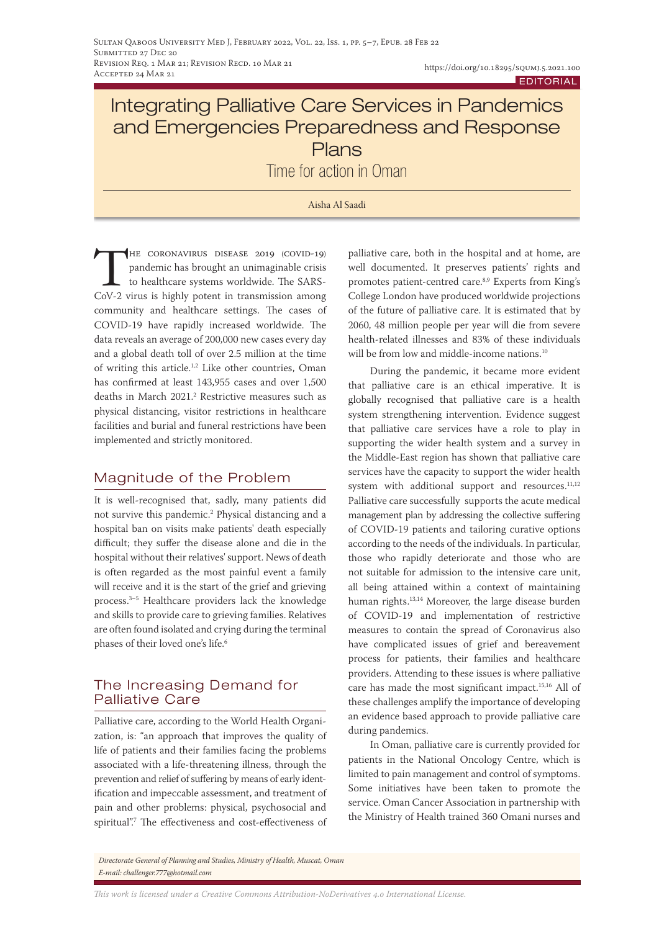# Integrating Palliative Care Services in Pandemics and Emergencies Preparedness and Response Plans

Time for action in Oman

Aisha Al Saadi

THE CORONAVIRUS DISEASE 2019 (COVID-19)<br>pandemic has brought an unimaginable crisis<br>to healthcare systems worldwide. The SARS-<br>CoV-2 virus is highly potent in transmission among pandemic has brought an unimaginable crisis to healthcare systems worldwide. The SARS-CoV-2 virus is highly potent in transmission among community and healthcare settings. The cases of COVID-19 have rapidly increased worldwide. The data reveals an average of 200,000 new cases every day and a global death toll of over 2.5 million at the time of writing this article.<sup>1,2</sup> Like other countries, Oman has confirmed at least 143,955 cases and over 1,500 deaths in March 2021.<sup>2</sup> Restrictive measures such as physical distancing, visitor restrictions in healthcare facilities and burial and funeral restrictions have been implemented and strictly monitored.

# Magnitude of the Problem

It is well-recognised that, sadly, many patients did not survive this pandemic.2 Physical distancing and a hospital ban on visits make patients' death especially difficult; they suffer the disease alone and die in the hospital without their relatives' support. News of death is often regarded as the most painful event a family will receive and it is the start of the grief and grieving process.3–5 Healthcare providers lack the knowledge and skills to provide care to grieving families. Relatives are often found isolated and crying during the terminal phases of their loved one's life.<sup>6</sup>

# The Increasing Demand for Palliative Care

Palliative care, according to the World Health Organization, is: "an approach that improves the quality of life of patients and their families facing the problems associated with a life-threatening illness, through the prevention and relief of suffering by means of early identification and impeccable assessment, and treatment of pain and other problems: physical, psychosocial and spiritual".7 The effectiveness and cost-effectiveness of palliative care, both in the hospital and at home, are well documented. It preserves patients' rights and promotes patient-centred care.8,9 Experts from King's College London have produced worldwide projections of the future of palliative care. It is estimated that by 2060, 48 million people per year will die from severe health-related illnesses and 83% of these individuals will be from low and middle-income nations.<sup>10</sup>

During the pandemic, it became more evident that palliative care is an ethical imperative. It is globally recognised that palliative care is a health system strengthening intervention. Evidence suggest that palliative care services have a role to play in supporting the wider health system and a survey in the Middle-East region has shown that palliative care services have the capacity to support the wider health system with additional support and resources.<sup>11,12</sup> Palliative care successfully supports the acute medical management plan by addressing the collective suffering of COVID-19 patients and tailoring curative options according to the needs of the individuals. In particular, those who rapidly deteriorate and those who are not suitable for admission to the intensive care unit, all being attained within a context of maintaining human rights.13,14 Moreover, the large disease burden of COVID-19 and implementation of restrictive measures to contain the spread of Coronavirus also have complicated issues of grief and bereavement process for patients, their families and healthcare providers. Attending to these issues is where palliative care has made the most significant impact.15,16 All of these challenges amplify the importance of developing an evidence based approach to provide palliative care during pandemics.

In Oman, palliative care is currently provided for patients in the National Oncology Centre, which is limited to pain management and control of symptoms. Some initiatives have been taken to promote the service. Oman Cancer Association in partnership with the Ministry of Health trained 360 Omani nurses and

*Directorate General of Planning and Studies, Ministry of Health, Muscat, Oman E-mail: challenger.777@hotmail.com*

*This work is licensed under a [Creative Commons Attribution-NoDerivatives 4.0 International License.](https://creativecommons.org/licenses/by-nd/4.0/)*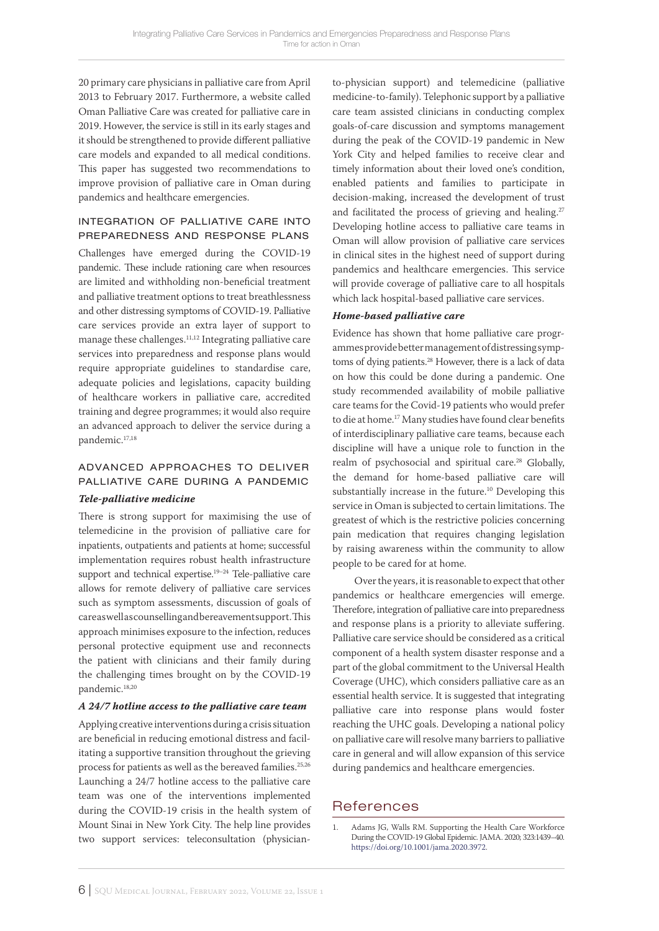20 primary care physicians in palliative care from April 2013 to February 2017. Furthermore, a website called Oman Palliative Care was created for palliative care in 2019. However, the service is still in its early stages and it should be strengthened to provide different palliative care models and expanded to all medical conditions. This paper has suggested two recommendations to improve provision of palliative care in Oman during pandemics and healthcare emergencies.

## integration of palliative care into preparedness and response plans

Challenges have emerged during the COVID-19 pandemic. These include rationing care when resources are limited and withholding non-beneficial treatment and palliative treatment options to treat breathlessness and other distressing symptoms of COVID-19. Palliative care services provide an extra layer of support to manage these challenges.11,12 Integrating palliative care services into preparedness and response plans would require appropriate guidelines to standardise care, adequate policies and legislations, capacity building of healthcare workers in palliative care, accredited training and degree programmes; it would also require an advanced approach to deliver the service during a pandemic.17,18

# ADVANCED APPROACHES TO DELIVER palliative care during a pandemic

### *Tele-palliative medicine*

There is strong support for maximising the use of telemedicine in the provision of palliative care for inpatients, outpatients and patients at home; successful implementation requires robust health infrastructure support and technical expertise.19–24 Tele-palliative care allows for remote delivery of palliative care services such as symptom assessments, discussion of goals of care as well as counselling and bereavement support. This approach minimises exposure to the infection, reduces personal protective equipment use and reconnects the patient with clinicians and their family during the challenging times brought on by the COVID-19 pandemic.18,20

### *A 24/7 hotline access to the palliative care team*

Applying creative interventions during a crisis situation are beneficial in reducing emotional distress and facilitating a supportive transition throughout the grieving process for patients as well as the bereaved families.25,26 Launching a 24/7 hotline access to the palliative care team was one of the interventions implemented during the COVID-19 crisis in the health system of Mount Sinai in New York City. The help line provides two support services: teleconsultation (physicianto-physician support) and telemedicine (palliative medicine-to-family). Telephonic support by a palliative care team assisted clinicians in conducting complex goals-of-care discussion and symptoms management during the peak of the COVID-19 pandemic in New York City and helped families to receive clear and timely information about their loved one's condition, enabled patients and families to participate in decision-making, increased the development of trust and facilitated the process of grieving and healing.<sup>27</sup> Developing hotline access to palliative care teams in Oman will allow provision of palliative care services in clinical sites in the highest need of support during pandemics and healthcare emergencies. This service will provide coverage of palliative care to all hospitals which lack hospital-based palliative care services.

## *Home-based palliative care*

Evidence has shown that home palliative care programmes provide better management of distressing symptoms of dying patients.<sup>28</sup> However, there is a lack of data on how this could be done during a pandemic. One study recommended availability of mobile palliative care teams for the Covid-19 patients who would prefer to die at home.17 Many studies have found clear benefits of interdisciplinary palliative care teams, because each discipline will have a unique role to function in the realm of psychosocial and spiritual care.<sup>28</sup> Globally, the demand for home-based palliative care will substantially increase in the future.<sup>10</sup> Developing this service in Oman is subjected to certain limitations. The greatest of which is the restrictive policies concerning pain medication that requires changing legislation by raising awareness within the community to allow people to be cared for at home.

Over the years, it is reasonable to expect that other pandemics or healthcare emergencies will emerge. Therefore, integration of palliative care into preparedness and response plans is a priority to alleviate suffering. Palliative care service should be considered as a critical component of a health system disaster response and a part of the global commitment to the Universal Health Coverage (UHC), which considers palliative care as an essential health service. It is suggested that integrating palliative care into response plans would foster reaching the UHC goals. Developing a national policy on palliative care will resolve many barriers to palliative care in general and will allow expansion of this service during pandemics and healthcare emergencies.

# References

1. Adams JG, Walls RM. Supporting the Health Care Workforce During the COVID-19 Global Epidemic. JAMA. 2020; 323:1439–40. [https://doi.org/10.1001/jama.2020.3972.](https://doi.org/10.1001/jama.2020.3972)